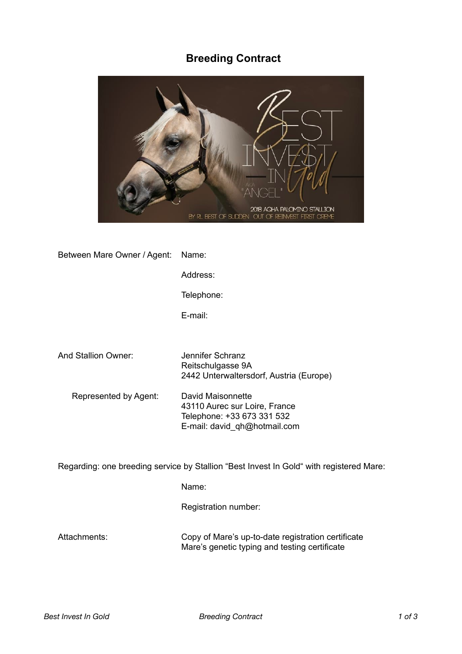# **Breeding Contract**



| Between Mare Owner / Agent:                                                             | Name:                                                                                                            |
|-----------------------------------------------------------------------------------------|------------------------------------------------------------------------------------------------------------------|
|                                                                                         | Address:                                                                                                         |
|                                                                                         | Telephone:                                                                                                       |
|                                                                                         | E-mail:                                                                                                          |
|                                                                                         |                                                                                                                  |
| And Stallion Owner:                                                                     | Jennifer Schranz<br>Reitschulgasse 9A<br>2442 Unterwaltersdorf, Austria (Europe)                                 |
| Represented by Agent:                                                                   | David Maisonnette<br>43110 Aurec sur Loire, France<br>Telephone: +33 673 331 532<br>E-mail: david_qh@hotmail.com |
| Regarding: one breeding service by Stallion "Best Invest In Gold" with registered Mare: |                                                                                                                  |

Name:

Registration number:

Attachments: Copy of Mare's up-to-date registration certificate Mare's genetic typing and testing certificate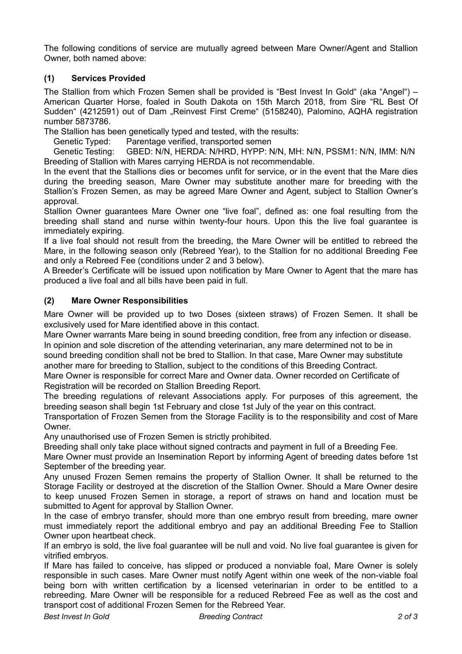The following conditions of service are mutually agreed between Mare Owner/Agent and Stallion Owner, both named above:

## **(1) Services Provided**

The Stallion from which Frozen Semen shall be provided is "Best Invest In Gold" (aka "Angel") – American Quarter Horse, foaled in South Dakota on 15th March 2018, from Sire "RL Best Of Sudden" (4212591) out of Dam "Reinvest First Creme" (5158240), Palomino, AQHA registration number 5873786.

The Stallion has been genetically typed and tested, with the results:

Genetic Typed: Parentage verified, transported semen

 Genetic Testing: GBED: N/N, HERDA: N/HRD, HYPP: N/N, MH: N/N, PSSM1: N/N, IMM: N/N Breeding of Stallion with Mares carrying HERDA is not recommendable.

In the event that the Stallions dies or becomes unfit for service, or in the event that the Mare dies during the breeding season, Mare Owner may substitute another mare for breeding with the Stallion's Frozen Semen, as may be agreed Mare Owner and Agent, subject to Stallion Owner's approval.

Stallion Owner guarantees Mare Owner one "live foal", defined as: one foal resulting from the breeding shall stand and nurse within twenty-four hours. Upon this the live foal guarantee is immediately expiring.

If a live foal should not result from the breeding, the Mare Owner will be entitled to rebreed the Mare, in the following season only (Rebreed Year), to the Stallion for no additional Breeding Fee and only a Rebreed Fee (conditions under 2 and 3 below).

A Breeder's Certificate will be issued upon notification by Mare Owner to Agent that the mare has produced a live foal and all bills have been paid in full.

## **(2) Mare Owner Responsibilities**

Mare Owner will be provided up to two Doses (sixteen straws) of Frozen Semen. It shall be exclusively used for Mare identified above in this contact.

Mare Owner warrants Mare being in sound breeding condition, free from any infection or disease.

In opinion and sole discretion of the attending veterinarian, any mare determined not to be in sound breeding condition shall not be bred to Stallion. In that case, Mare Owner may substitute another mare for breeding to Stallion, subject to the conditions of this Breeding Contract.

Mare Owner is responsible for correct Mare and Owner data. Owner recorded on Certificate of Registration will be recorded on Stallion Breeding Report.

The breeding regulations of relevant Associations apply. For purposes of this agreement, the breeding season shall begin 1st February and close 1st July of the year on this contract.

Transportation of Frozen Semen from the Storage Facility is to the responsibility and cost of Mare Owner.

Any unauthorised use of Frozen Semen is strictly prohibited.

Breeding shall only take place without signed contracts and payment in full of a Breeding Fee.

Mare Owner must provide an Insemination Report by informing Agent of breeding dates before 1st September of the breeding year.

Any unused Frozen Semen remains the property of Stallion Owner. It shall be returned to the Storage Facility or destroyed at the discretion of the Stallion Owner. Should a Mare Owner desire to keep unused Frozen Semen in storage, a report of straws on hand and location must be submitted to Agent for approval by Stallion Owner.

In the case of embryo transfer, should more than one embryo result from breeding, mare owner must immediately report the additional embryo and pay an additional Breeding Fee to Stallion Owner upon heartbeat check.

If an embryo is sold, the live foal guarantee will be null and void. No live foal guarantee is given for vitrified embryos.

If Mare has failed to conceive, has slipped or produced a nonviable foal, Mare Owner is solely responsible in such cases. Mare Owner must notify Agent within one week of the non-viable foal being born with written certification by a licensed veterinarian in order to be entitled to a rebreeding. Mare Owner will be responsible for a reduced Rebreed Fee as well as the cost and transport cost of additional Frozen Semen for the Rebreed Year.